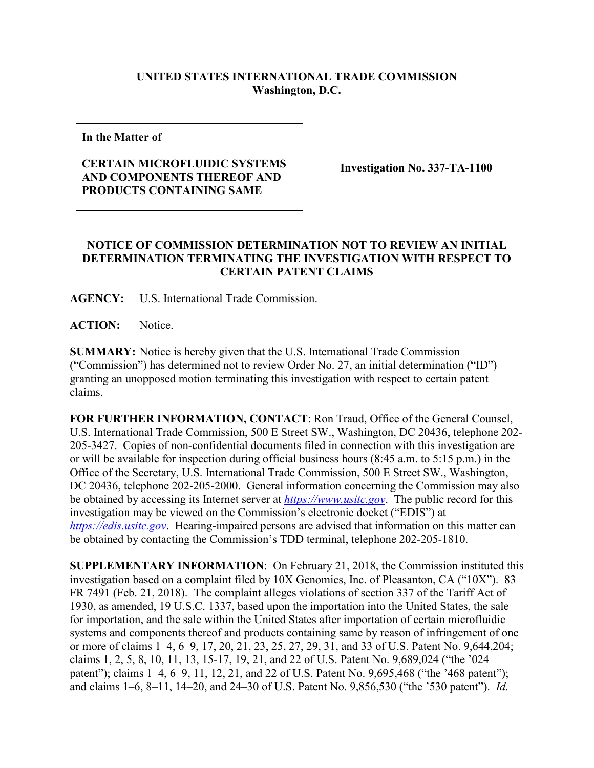## **UNITED STATES INTERNATIONAL TRADE COMMISSION Washington, D.C.**

**In the Matter of**

## **CERTAIN MICROFLUIDIC SYSTEMS AND COMPONENTS THEREOF AND PRODUCTS CONTAINING SAME**

**Investigation No. 337-TA-1100**

## **NOTICE OF COMMISSION DETERMINATION NOT TO REVIEW AN INITIAL DETERMINATION TERMINATING THE INVESTIGATION WITH RESPECT TO CERTAIN PATENT CLAIMS**

**AGENCY:** U.S. International Trade Commission.

**ACTION:** Notice.

**SUMMARY:** Notice is hereby given that the U.S. International Trade Commission ("Commission") has determined not to review Order No. 27, an initial determination ("ID") granting an unopposed motion terminating this investigation with respect to certain patent claims.

**FOR FURTHER INFORMATION, CONTACT**: Ron Traud, Office of the General Counsel, U.S. International Trade Commission, 500 E Street SW., Washington, DC 20436, telephone 202- 205-3427. Copies of non-confidential documents filed in connection with this investigation are or will be available for inspection during official business hours (8:45 a.m. to 5:15 p.m.) in the Office of the Secretary, U.S. International Trade Commission, 500 E Street SW., Washington, DC 20436, telephone 202-205-2000. General information concerning the Commission may also be obtained by accessing its Internet server at *[https://www.usitc.gov](https://www.usitc.gov/)*. The public record for this investigation may be viewed on the Commission's electronic docket ("EDIS") at *[https://edis.usitc.gov](https://edis.usitc.gov/)*. Hearing-impaired persons are advised that information on this matter can be obtained by contacting the Commission's TDD terminal, telephone 202-205-1810.

**SUPPLEMENTARY INFORMATION**: On February 21, 2018, the Commission instituted this investigation based on a complaint filed by 10X Genomics, Inc. of Pleasanton, CA ("10X"). 83 FR 7491 (Feb. 21, 2018). The complaint alleges violations of section 337 of the Tariff Act of 1930, as amended, 19 U.S.C. 1337, based upon the importation into the United States, the sale for importation, and the sale within the United States after importation of certain microfluidic systems and components thereof and products containing same by reason of infringement of one or more of claims 1–4, 6–9, 17, 20, 21, 23, 25, 27, 29, 31, and 33 of U.S. Patent No. 9,644,204; claims 1, 2, 5, 8, 10, 11, 13, 15-17, 19, 21, and 22 of U.S. Patent No. 9,689,024 ("the '024 patent"); claims 1–4, 6–9, 11, 12, 21, and 22 of U.S. Patent No. 9,695,468 ("the '468 patent"); and claims 1–6, 8–11, 14–20, and 24–30 of U.S. Patent No. 9,856,530 ("the '530 patent"). *Id.*